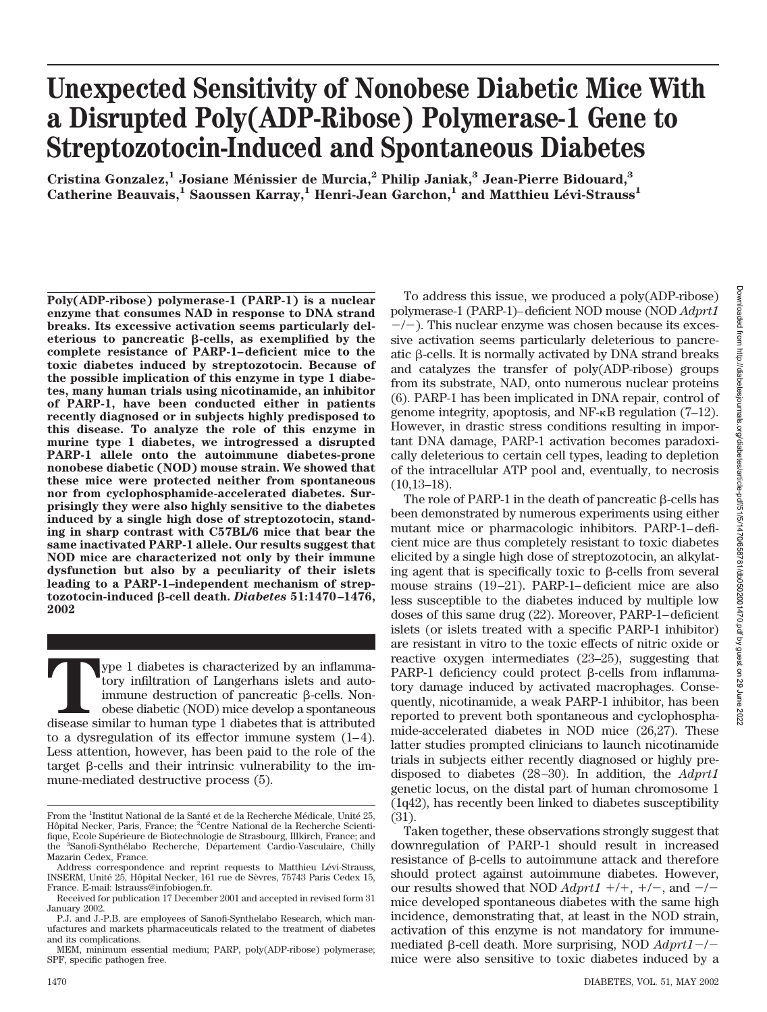# **Unexpected Sensitivity of Nonobese Diabetic Mice With a Disrupted Poly(ADP-Ribose) Polymerase-1 Gene to Streptozotocin-Induced and Spontaneous Diabetes**

**Cristina Gonzalez,1 Josiane Me´nissier de Murcia,2 Philip Janiak,3 Jean-Pierre Bidouard,3** Catherine Beauvais,<sup>1</sup> Saoussen Karray,<sup>1</sup> Henri-Jean Garchon,<sup>1</sup> and Matthieu Lévi-Strauss<sup>1</sup>

**Poly(ADP-ribose) polymerase-1 (PARP-1) is a nuclear enzyme that consumes NAD in response to DNA strand breaks. Its excessive activation seems particularly del**eterious to pancreatic  $\beta$ -cells, as exemplified by the **complete resistance of PARP-1–deficient mice to the toxic diabetes induced by streptozotocin. Because of the possible implication of this enzyme in type 1 diabetes, many human trials using nicotinamide, an inhibitor of PARP-1, have been conducted either in patients recently diagnosed or in subjects highly predisposed to this disease. To analyze the role of this enzyme in murine type 1 diabetes, we introgressed a disrupted PARP-1 allele onto the autoimmune diabetes-prone nonobese diabetic (NOD) mouse strain. We showed that these mice were protected neither from spontaneous nor from cyclophosphamide-accelerated diabetes. Surprisingly they were also highly sensitive to the diabetes induced by a single high dose of streptozotocin, standing in sharp contrast with C57BL/6 mice that bear the same inactivated PARP-1 allele. Our results suggest that NOD mice are characterized not only by their immune dysfunction but also by a peculiarity of their islets leading to a PARP-1–independent mechanism of streptozotocin-induced -cell death.** *Diabetes* **51:1470–1476, 2002**

**The 1** diabetes is characterized by an inflamma-<br>tory infiltration of Langerhans islets and auto-<br>immune destruction of pancreatic  $\beta$ -cells. Non-<br>obese diabetic (NOD) mice develop a spontaneous<br>disease similar to human tory infiltration of Langerhans islets and autoimmune destruction of pancreatic  $\beta$ -cells. Nonobese diabetic (NOD) mice develop a spontaneous to a dysregulation of its effector immune system (1–4). Less attention, however, has been paid to the role of the target  $\beta$ -cells and their intrinsic vulnerability to the immune-mediated destructive process (5).

To address this issue, we produced a poly(ADP-ribose) polymerase-1 (PARP-1)–deficient NOD mouse (NOD *Adprt1*  $-/-$ ). This nuclear enzyme was chosen because its excessive activation seems particularly deleterious to pancreatic  $\beta$ -cells. It is normally activated by DNA strand breaks and catalyzes the transfer of poly(ADP-ribose) groups from its substrate, NAD, onto numerous nuclear proteins (6). PARP-1 has been implicated in DNA repair, control of genome integrity, apoptosis, and  $NF-\kappa B$  regulation (7–12). However, in drastic stress conditions resulting in important DNA damage, PARP-1 activation becomes paradoxically deleterious to certain cell types, leading to depletion of the intracellular ATP pool and, eventually, to necrosis  $(10,13-18)$ .

The role of PARP-1 in the death of pancreatic  $\beta$ -cells has been demonstrated by numerous experiments using either mutant mice or pharmacologic inhibitors. PARP-1–deficient mice are thus completely resistant to toxic diabetes elicited by a single high dose of streptozotocin, an alkylating agent that is specifically toxic to  $\beta$ -cells from several mouse strains (19–21). PARP-1–deficient mice are also less susceptible to the diabetes induced by multiple low doses of this same drug (22). Moreover, PARP-1–deficient islets (or islets treated with a specific PARP-1 inhibitor) are resistant in vitro to the toxic effects of nitric oxide or reactive oxygen intermediates (23–25), suggesting that PARP-1 deficiency could protect  $\beta$ -cells from inflammatory damage induced by activated macrophages. Consequently, nicotinamide, a weak PARP-1 inhibitor, has been reported to prevent both spontaneous and cyclophosphamide-accelerated diabetes in NOD mice (26,27). These latter studies prompted clinicians to launch nicotinamide trials in subjects either recently diagnosed or highly predisposed to diabetes (28–30). In addition, the *Adprt1* genetic locus, on the distal part of human chromosome 1 (1q42), has recently been linked to diabetes susceptibility (31).

Taken together, these observations strongly suggest that downregulation of PARP-1 should result in increased resistance of  $\beta$ -cells to autoimmune attack and therefore should protect against autoimmune diabetes. However, our results showed that NOD  $Adprt1 +/+$ ,  $+/-$ , and  $-/$ mice developed spontaneous diabetes with the same high incidence, demonstrating that, at least in the NOD strain, activation of this enzyme is not mandatory for immunemediated β-cell death. More surprising, NOD *Adprt1*-/mice were also sensitive to toxic diabetes induced by a

From the <sup>1</sup>Institut National de la Santé et de la Recherche Médicale, Unité 25, Hôpital Necker, Paris, France; the <sup>2</sup>Centre National de la Recherche Scientifique, Ecole Supérieure de Biotechnologie de Strasbourg, Illkirch, France; and the <sup>3</sup>Sanofi-Synthélabo Recherche, Département Cardio-Vasculaire, Chilly Mazarin Cedex, France.

Address correspondence and reprint requests to Matthieu Lévi-Strauss, INSERM, Unité 25, Hôpital Necker, 161 rue de Sèvres, 75743 Paris Cedex 15, France. E-mail: lstrauss@infobiogen.fr.

Received for publication 17 December 2001 and accepted in revised form 31 January 2002.

P.J. and J.-P.B. are employees of Sanofi-Synthelabo Research, which manufactures and markets pharmaceuticals related to the treatment of diabetes and its complications.

MEM, minimum essential medium; PARP, poly(ADP-ribose) polymerase; SPF, specific pathogen free.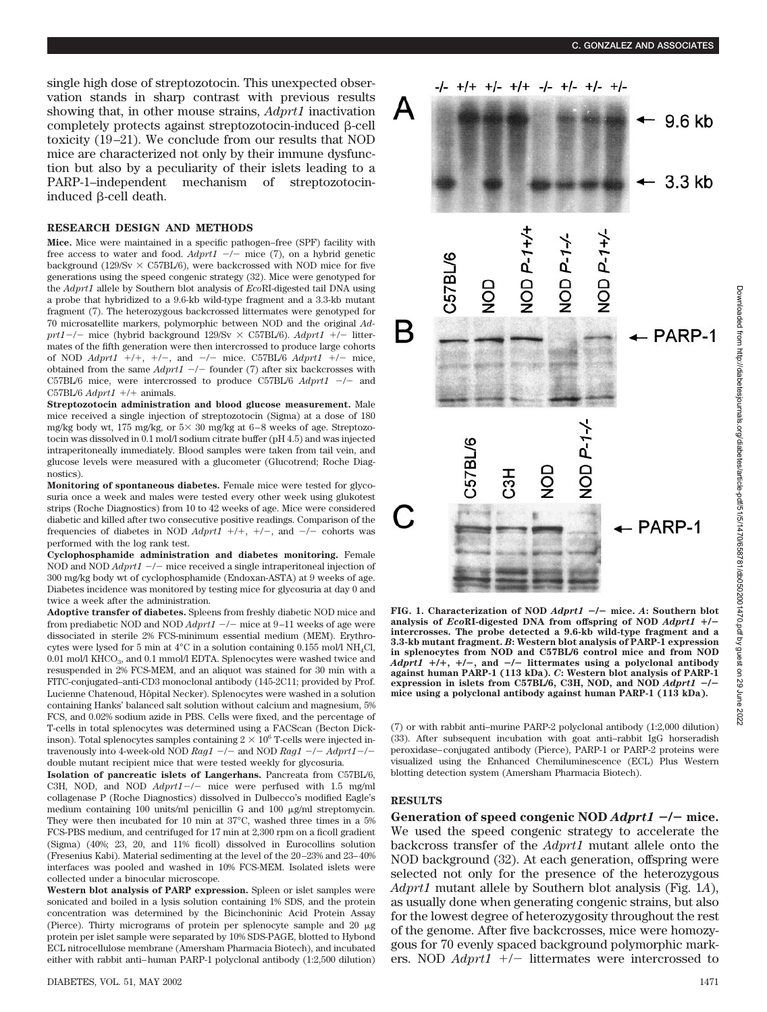single high dose of streptozotocin. This unexpected observation stands in sharp contrast with previous results showing that, in other mouse strains, *Adprt1* inactivation completely protects against streptozotocin-induced  $\beta$ -cell toxicity (19–21). We conclude from our results that NOD mice are characterized not only by their immune dysfunction but also by a peculiarity of their islets leading to a PARP-1–independent mechanism of streptozotocininduced  $\beta$ -cell death.

#### **RESEARCH DESIGN AND METHODS**

**Mice.** Mice were maintained in a specific pathogen–free (SPF) facility with free access to water and food.  $Adprt1$   $\rightarrow$  - mice (7), on a hybrid genetic background (129/Sv  $\times$  C57BL/6), were backcrossed with NOD mice for five generations using the speed congenic strategy (32). Mice were genotyped for the *Adprt1* allele by Southern blot analysis of *Eco*RI-digested tail DNA using a probe that hybridized to a 9.6-kb wild-type fragment and a 3.3-kb mutant fragment (7). The heterozygous backcrossed littermates were genotyped for 70 microsatellite markers, polymorphic between NOD and the original *Ad* $prt1-/-$  mice (hybrid background  $129/Sv \times C57BL/6$ ). *Adprt1* +/- littermates of the fifth generation were then intercrossed to produce large cohorts of NOD  $Adprt1 +/+$ ,  $+/-$ , and  $-/-$  mice. C57BL/6  $Adprt1 +/-$  mice, obtained from the same  $Adprt1$   $-/-$  founder (7) after six backcrosses with C57BL/6 mice, were intercrossed to produce C57BL/6  $Adprt1$  -/- and C57BL/6  $Adprt1$  +/+ animals.

**Streptozotocin administration and blood glucose measurement.** Male mice received a single injection of streptozotocin (Sigma) at a dose of 180 mg/kg body wt, 175 mg/kg, or  $5 \times 30$  mg/kg at 6-8 weeks of age. Streptozotocin was dissolved in 0.1 mol/l sodium citrate buffer (pH 4.5) and was injected intraperitoneally immediately. Blood samples were taken from tail vein, and glucose levels were measured with a glucometer (Glucotrend; Roche Diagnostics).

**Monitoring of spontaneous diabetes.** Female mice were tested for glycosuria once a week and males were tested every other week using glukotest strips (Roche Diagnostics) from 10 to 42 weeks of age. Mice were considered diabetic and killed after two consecutive positive readings. Comparison of the frequencies of diabetes in NOD  $Adprt1$  +/+, +/-, and -/- cohorts was performed with the log rank test.

**Cyclophosphamide administration and diabetes monitoring.** Female NOD and NOD *Adprt1*  $-/-$  mice received a single intraperitoneal injection of 300 mg/kg body wt of cyclophosphamide (Endoxan-ASTA) at 9 weeks of age. Diabetes incidence was monitored by testing mice for glycosuria at day 0 and twice a week after the administration.

**Adoptive transfer of diabetes.** Spleens from freshly diabetic NOD mice and from prediabetic NOD and NOD  $Adprt1 -$  -/- mice at 9-11 weeks of age were dissociated in sterile 2% FCS-minimum essential medium (MEM). Erythrocytes were lysed for 5 min at  $4^{\circ}$ C in a solution containing 0.155 mol/l NH<sub>4</sub>Cl, 0.01 mol/l KHCO<sub>3</sub>, and 0.1 mmol/l EDTA. Splenocytes were washed twice and resuspended in 2% FCS-MEM, and an aliquot was stained for 30 min with a FITC-conjugated–anti-CD3 monoclonal antibody (145-2C11; provided by Prof. Lucienne Chatenoud, Hôpital Necker). Splenocytes were washed in a solution containing Hanks' balanced salt solution without calcium and magnesium, 5% FCS, and 0.02% sodium azide in PBS. Cells were fixed, and the percentage of T-cells in total splenocytes was determined using a FACScan (Becton Dickinson). Total splenocytes samples containing  $2\times 10^6$  T-cells were injected intravenously into 4-week-old NOD  $Rag1 - \ell -$  and NOD  $Rag1 - \ell - Adprt1 - \ell$ double mutant recipient mice that were tested weekly for glycosuria.

**Isolation of pancreatic islets of Langerhans.** Pancreata from C57BL/6, C3H, NOD, and NOD  $Adprt1-/-$  mice were perfused with 1.5 mg/ml collagenase P (Roche Diagnostics) dissolved in Dulbecco's modified Eagle's medium containing 100 units/ml penicillin G and 100  $\mu$ g/ml streptomycin. They were then incubated for 10 min at 37°C, washed three times in a 5% FCS-PBS medium, and centrifuged for 17 min at 2,300 rpm on a ficoll gradient (Sigma) (40%; 23, 20, and 11% ficoll) dissolved in Eurocollins solution (Fresenius Kabi). Material sedimenting at the level of the 20–23% and 23–40% interfaces was pooled and washed in 10% FCS-MEM. Isolated islets were collected under a binocular microscope.

**Western blot analysis of PARP expression.** Spleen or islet samples were sonicated and boiled in a lysis solution containing 1% SDS, and the protein concentration was determined by the Bicinchoninic Acid Protein Assay (Pierce). Thirty micrograms of protein per splenocyte sample and 20  $\mu$ g protein per islet sample were separated by 10% SDS-PAGE, blotted to Hybond ECL nitrocellulose membrane (Amersham Pharmacia Biotech), and incubated either with rabbit anti–human PARP-1 polyclonal antibody (1:2,500 dilution)



**FIG. 1. Characterization of NOD** *Adprt1* -**/**- **mice.** *A***: Southern blot analysis of** *Eco***RI-digested DNA from offspring of NOD** *Adprt1* **/ intercrosses. The probe detected a 9.6-kb wild-type fragment and a 3.3-kb mutant fragment.** *B***: Western blot analysis of PARP-1 expression in splenocytes from NOD and C57BL/6 control mice and from NOD** *Adprt1* **/, /**-**, and** -**/**- **littermates using a polyclonal antibody against human PARP-1 (113 kDa).** *C***: Western blot analysis of PARP-1 expression in islets from C57BL/6, C3H, NOD, and NOD** *Adprt1* -**/ mice using a polyclonal antibody against human PARP-1 (113 kDa).**

(7) or with rabbit anti–murine PARP-2 polyclonal antibody (1:2,000 dilution) (33). After subsequent incubation with goat anti–rabbit IgG horseradish peroxidase–conjugated antibody (Pierce), PARP-1 or PARP-2 proteins were visualized using the Enhanced Chemiluminescence (ECL) Plus Western blotting detection system (Amersham Pharmacia Biotech).

## **RESULTS**

**Generation of speed congenic NOD** *Adprt1* -**/**- **mice.** We used the speed congenic strategy to accelerate the backcross transfer of the *Adprt1* mutant allele onto the NOD background (32). At each generation, offspring were selected not only for the presence of the heterozygous *Adprt1* mutant allele by Southern blot analysis (Fig. 1*A*), as usually done when generating congenic strains, but also for the lowest degree of heterozygosity throughout the rest of the genome. After five backcrosses, mice were homozygous for 70 evenly spaced background polymorphic markers. NOD  $Adprt1$  +/- littermates were intercrossed to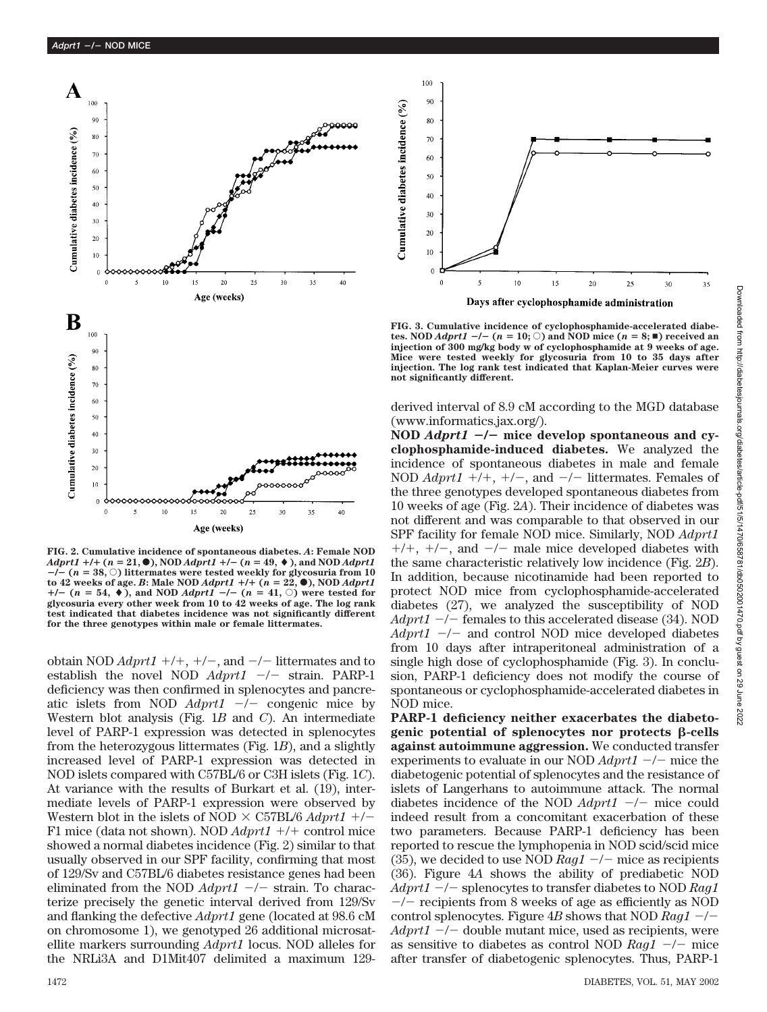

**FIG. 2. Cumulative incidence of spontaneous diabetes.** *A***: Female NOD**  $Adprt1 + h + (n = 21, 0), NOD$   $Adprt1 + h - (n = 49, 0),$  and NOD  $Adprt1$  $-\hat{i}$  ( $n = 38$ ,  $\circ$ ) littermates were tested weekly for glycosuria from 10  $\text{to } 42 \text{ weeks of age. } B$ **:** Male NOD *Adprt1*  $+/+$  ( $n = 22,$ **)**, NOD *Adprt1*  $+/-$  ( $n = 54$ ,  $\blacklozenge$ ), and NOD *Adprt1*  $-/-$  ( $n = 41$ ,  $\heartsuit$ ) were tested for **glycosuria every other week from 10 to 42 weeks of age. The log rank test indicated that diabetes incidence was not significantly different for the three genotypes within male or female littermates.**

obtain NOD  $Adprt1 +/+$ ,  $+/-$ , and  $-/-$  littermates and to establish the novel NOD  $Adprt1$   $-/-$  strain. PARP-1 deficiency was then confirmed in splenocytes and pancreatic islets from NOD  $Adprt1$   $-/-$  congenic mice by Western blot analysis (Fig. 1*B* and *C*). An intermediate level of PARP-1 expression was detected in splenocytes from the heterozygous littermates (Fig. 1*B*), and a slightly increased level of PARP-1 expression was detected in NOD islets compared with C57BL/6 or C3H islets (Fig. 1*C*). At variance with the results of Burkart et al. (19), intermediate levels of PARP-1 expression were observed by Western blot in the islets of NOD  $\times$  C57BL/6 *Adprt1* +/-F1 mice (data not shown). NOD  $Adprt1 +/+$  control mice showed a normal diabetes incidence (Fig. 2) similar to that usually observed in our SPF facility, confirming that most of 129/Sv and C57BL/6 diabetes resistance genes had been eliminated from the NOD  $Adprt1$   $-/-$  strain. To characterize precisely the genetic interval derived from 129/Sv and flanking the defective *Adprt1* gene (located at 98.6 cM on chromosome 1), we genotyped 26 additional microsatellite markers surrounding *Adprt1* locus. NOD alleles for the NRLi3A and D1Mit407 delimited a maximum 129-



**FIG. 3. Cumulative incidence of cyclophosphamide-accelerated diabetes. NOD**  $Adprt1 \leftarrow$   $(n = 10; \circlearrowright)$  and NOD mice  $(n = 8; \blacksquare)$  received an **injection of 300 mg/kg body w of cyclophosphamide at 9 weeks of age. Mice were tested weekly for glycosuria from 10 to 35 days after injection. The log rank test indicated that Kaplan-Meier curves were not significantly different.**

derived interval of 8.9 cM according to the MGD database (www.informatics.jax.org/).

**NOD** *Adprt1* -**/**- **mice develop spontaneous and cyclophosphamide-induced diabetes.** We analyzed the incidence of spontaneous diabetes in male and female NOD  $Adprt1 +/+$ ,  $+/-$ , and  $-/-$  littermates. Females of the three genotypes developed spontaneous diabetes from 10 weeks of age (Fig. 2*A*). Their incidence of diabetes was not different and was comparable to that observed in our SPF facility for female NOD mice. Similarly, NOD *Adprt1*  $+/+, +/-$ , and  $-/-$  male mice developed diabetes with the same characteristic relatively low incidence (Fig. 2*B*). In addition, because nicotinamide had been reported to protect NOD mice from cyclophosphamide-accelerated diabetes (27), we analyzed the susceptibility of NOD *Adprt1* -/- females to this accelerated disease (34). NOD Adprt1 -/- and control NOD mice developed diabetes from 10 days after intraperitoneal administration of a single high dose of cyclophosphamide (Fig. 3). In conclusion, PARP-1 deficiency does not modify the course of spontaneous or cyclophosphamide-accelerated diabetes in NOD mice.

**PARP-1 deficiency neither exacerbates the diabeto**genic potential of splenocytes nor protects  $\beta$ -cells **against autoimmune aggression.** We conducted transfer experiments to evaluate in our NOD  $Adprt1 -$  –/– mice the diabetogenic potential of splenocytes and the resistance of islets of Langerhans to autoimmune attack. The normal diabetes incidence of the NOD  $Adprt1 -$  -/- mice could indeed result from a concomitant exacerbation of these two parameters. Because PARP-1 deficiency has been reported to rescue the lymphopenia in NOD scid/scid mice (35), we decided to use NOD  $Rag1 -$  mice as recipients (36). Figure 4*A* shows the ability of prediabetic NOD *Adprt1* -/- splenocytes to transfer diabetes to NOD *Rag1*  $-/-$  recipients from 8 weeks of age as efficiently as NOD control splenocytes. Figure  $4B$  shows that NOD  $Rag1 Adprt1 \rightarrow$  double mutant mice, used as recipients, were as sensitive to diabetes as control NOD  $Rag1 -/-$  mice after transfer of diabetogenic splenocytes. Thus, PARP-1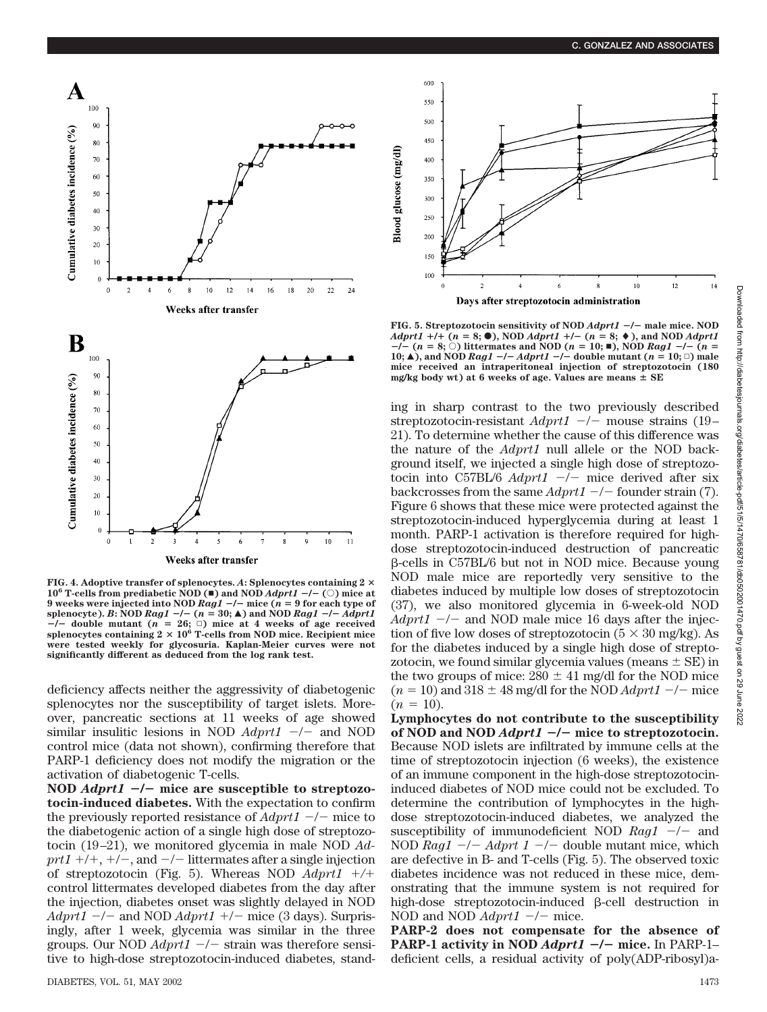

**FIG. 4. Adoptive transfer of splenocytes.** *A***: Splenocytes containing 2 10<sup>6</sup> T-cells from prediabetic NOD (** $\blacksquare$ **) and NOD** *Adprt1* **-/- (** $\heartsuit$ **) mice at 9 weeks were injected into NOD** *Rag1* -**/**- **mice (***n* **9 for each type of** splenocyte). *B*: NOD *Rag1*  $-/-$  ( $n = 30;$  **A**) and NOD *Rag1*  $-/-$  *Adprt1*  $-/-$  double mutant ( $n = 26$ ;  $\Box$ ) mice at 4 weeks of age received splenocytes containing  $2 \times 10^6$  T-cells from NOD mice. Recipient mice **were tested weekly for glycosuria. Kaplan-Meier curves were not significantly different as deduced from the log rank test.**

deficiency affects neither the aggressivity of diabetogenic splenocytes nor the susceptibility of target islets. Moreover, pancreatic sections at 11 weeks of age showed similar insulitic lesions in NOD  $Adprt1$   $-/-$  and NOD control mice (data not shown), confirming therefore that PARP-1 deficiency does not modify the migration or the activation of diabetogenic T-cells.

**NOD** *Adprt1* -**/**- **mice are susceptible to streptozotocin-induced diabetes.** With the expectation to confirm the previously reported resistance of  $Adprt1 - \rightleftharpoons$  mice to the diabetogenic action of a single high dose of streptozotocin (19–21), we monitored glycemia in male NOD *Ad* $prt1 +/+$ ,  $+/-$ , and  $-/-$  littermates after a single injection of streptozotocin (Fig. 5). Whereas NOD *Adprt1 /* control littermates developed diabetes from the day after the injection, diabetes onset was slightly delayed in NOD  $Adprt1$   $-/-$  and NOD  $Adprt1$   $+/-$  mice (3 days). Surprisingly, after 1 week, glycemia was similar in the three groups. Our NOD *Adprt1*  $-/-$  strain was therefore sensitive to high-dose streptozotocin-induced diabetes, stand-



**FIG. 5. Streptozotocin sensitivity of NOD** *Adprt1* -**/**- **male mice. NOD** *Adprt1*  $+/- (n = 8; \bullet)$ , NOD *Adprt1*  $+/- (n = 8; \bullet)$ , and NOD *Adprt1*  $-i$   $\hat{i}$   $(n = 8; \hat{c})$  littermates and NOD  $(n = 10; \text{m})$ , NOD *Rag1*  $-i$   $\hat{i}$   $n =$ **10;**  $\triangle$ ), and NOD *Rag1* -/- *Adprt1* -/- double mutant ( $n = 10; \square$ ) male **mice received an intraperitoneal injection of streptozotocin (180 mg/kg body wt) at 6 weeks of age. Values are means SE**

ing in sharp contrast to the two previously described streptozotocin-resistant  $Adprt1 -$  -/- mouse strains (19-21). To determine whether the cause of this difference was the nature of the *Adprt1* null allele or the NOD background itself, we injected a single high dose of streptozotocin into C57BL/6 *Adprt1*  $-/-$  mice derived after six backcrosses from the same  $Adprt1 -$  – founder strain (7). Figure 6 shows that these mice were protected against the streptozotocin-induced hyperglycemia during at least 1 month. PARP-1 activation is therefore required for highdose streptozotocin-induced destruction of pancreatic -cells in C57BL/6 but not in NOD mice. Because young NOD male mice are reportedly very sensitive to the diabetes induced by multiple low doses of streptozotocin (37), we also monitored glycemia in 6-week-old NOD  $Adprt1$   $-/-$  and NOD male mice 16 days after the injection of five low doses of streptozotocin ( $5 \times 30$  mg/kg). As for the diabetes induced by a single high dose of streptozotocin, we found similar glycemia values (means  $\pm$  SE) in the two groups of mice:  $280 \pm 41$  mg/dl for the NOD mice  $(n = 10)$  and  $318 \pm 48$  mg/dl for the NOD *Adprt1*  $-/-$  mice  $(n = 10)$ .

**Lymphocytes do not contribute to the susceptibility of NOD and NOD** *Adprt1* -**/**- **mice to streptozotocin.** Because NOD islets are infiltrated by immune cells at the time of streptozotocin injection (6 weeks), the existence of an immune component in the high-dose streptozotocininduced diabetes of NOD mice could not be excluded. To determine the contribution of lymphocytes in the highdose streptozotocin-induced diabetes, we analyzed the susceptibility of immunodeficient NOD *Rag1* -/- and NOD  $Rag1$   $-/ Adprt$  1  $-/-$  double mutant mice, which are defective in B- and T-cells (Fig. 5). The observed toxic diabetes incidence was not reduced in these mice, demonstrating that the immune system is not required for high-dose streptozotocin-induced  $\beta$ -cell destruction in NOD and NOD  $Adprt1 -$  -/- mice.

**PARP-2 does not compensate for the absence of PARP-1 activity in NOD** *Adprt1* -**/**- **mice.** In PARP-1– deficient cells, a residual activity of poly(ADP-ribosyl)a-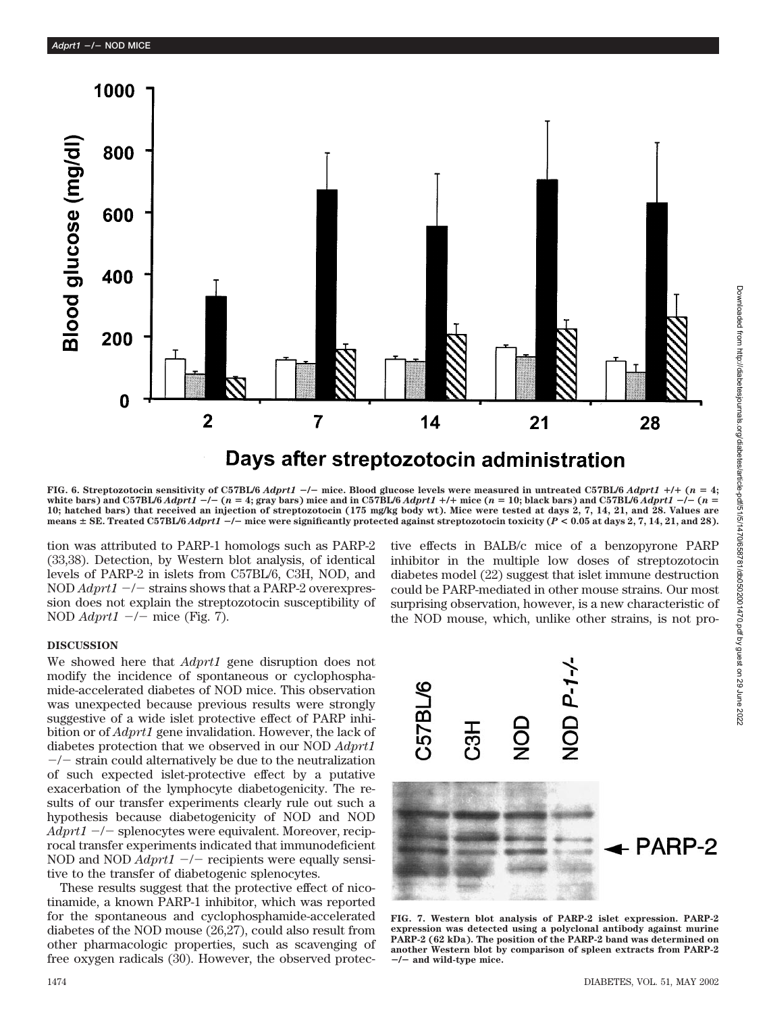

**FIG. 6. Streptozotocin sensitivity of C57BL/6** *Adprt1* -**/**- **mice. Blood glucose levels were measured in untreated C57BL/6** *Adprt1* **/ (***n* **4;** white bars) and C57BL/6  $Adprt1 - / -$  (n = 4; gray bars) mice and in C57BL/6  $Adprt1 + / +$  mice (n = 10; black bars) and C57BL/6  $Adprt1 - / -$  (n = **10; hatched bars) that received an injection of streptozotocin (175 mg/kg body wt). Mice were tested at days 2, 7, 14, 21, and 28. Values are means SE. Treated C57BL/6** *Adprt1* -**/**- **mice were significantly protected against streptozotocin toxicity (***P* **< 0.05 at days 2, 7, 14, 21, and 28).**

tion was attributed to PARP-1 homologs such as PARP-2 (33,38). Detection, by Western blot analysis, of identical levels of PARP-2 in islets from C57BL/6, C3H, NOD, and NOD  $Adprt1$  -/- strains shows that a PARP-2 overexpression does not explain the streptozotocin susceptibility of NOD *Adprt1* -/- mice (Fig. 7).

tive effects in BALB/c mice of a benzopyrone PARP inhibitor in the multiple low doses of streptozotocin diabetes model (22) suggest that islet immune destruction could be PARP-mediated in other mouse strains. Our most surprising observation, however, is a new characteristic of the NOD mouse, which, unlike other strains, is not pro-

## **DISCUSSION**

We showed here that *Adprt1* gene disruption does not modify the incidence of spontaneous or cyclophosphamide-accelerated diabetes of NOD mice. This observation was unexpected because previous results were strongly suggestive of a wide islet protective effect of PARP inhibition or of *Adprt1* gene invalidation. However, the lack of diabetes protection that we observed in our NOD *Adprt1*  $-\prime$  strain could alternatively be due to the neutralization of such expected islet-protective effect by a putative exacerbation of the lymphocyte diabetogenicity. The results of our transfer experiments clearly rule out such a hypothesis because diabetogenicity of NOD and NOD Adprt1 -/- splenocytes were equivalent. Moreover, reciprocal transfer experiments indicated that immunodeficient NOD and NOD  $Adprt1 -$  -/- recipients were equally sensitive to the transfer of diabetogenic splenocytes.

These results suggest that the protective effect of nicotinamide, a known PARP-1 inhibitor, which was reported for the spontaneous and cyclophosphamide-accelerated diabetes of the NOD mouse (26,27), could also result from other pharmacologic properties, such as scavenging of free oxygen radicals (30). However, the observed protec-



**FIG. 7. Western blot analysis of PARP-2 islet expression. PARP-2 expression was detected using a polyclonal antibody against murine PARP-2 (62 kDa). The position of the PARP-2 band was determined on another Western blot by comparison of spleen extracts from PARP-2** -**/**- **and wild-type mice.**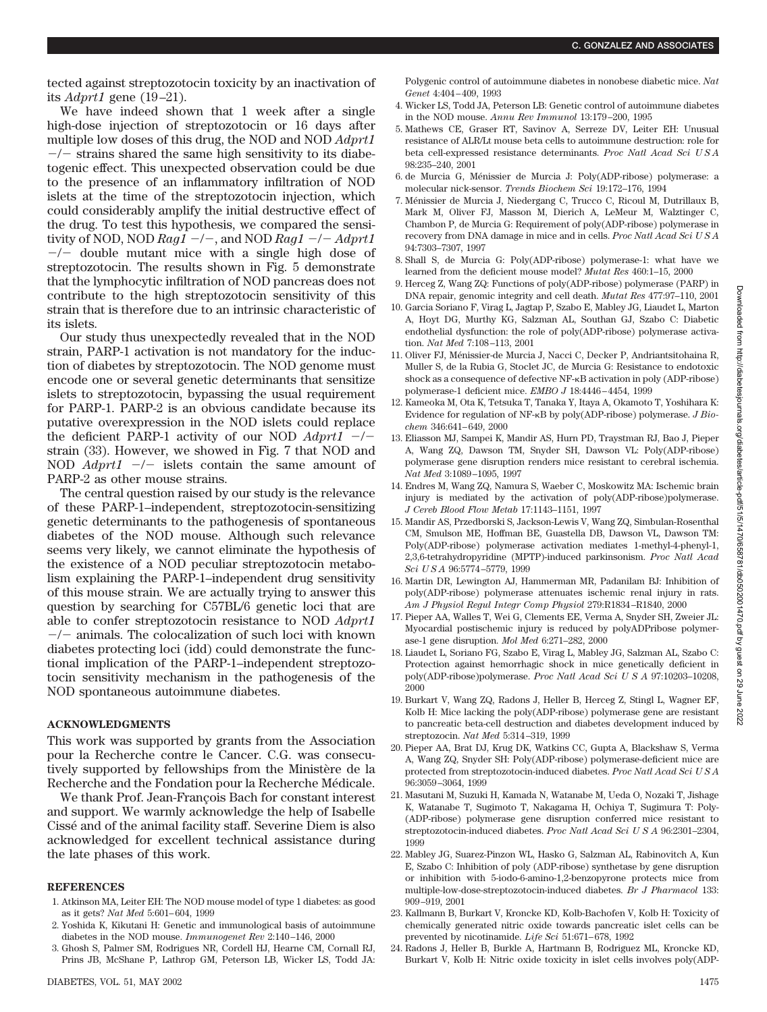tected against streptozotocin toxicity by an inactivation of its *Adprt1* gene (19–21).

We have indeed shown that 1 week after a single high-dose injection of streptozotocin or 16 days after multiple low doses of this drug, the NOD and NOD *Adprt1*  $-\prime$  strains shared the same high sensitivity to its diabetogenic effect. This unexpected observation could be due to the presence of an inflammatory infiltration of NOD islets at the time of the streptozotocin injection, which could considerably amplify the initial destructive effect of the drug. To test this hypothesis, we compared the sensitivity of NOD, NOD  $Rag1 - / -$ , and NOD  $Rag1 - / Adprt1$  $-\prime$  double mutant mice with a single high dose of streptozotocin. The results shown in Fig. 5 demonstrate that the lymphocytic infiltration of NOD pancreas does not contribute to the high streptozotocin sensitivity of this strain that is therefore due to an intrinsic characteristic of its islets.

Our study thus unexpectedly revealed that in the NOD strain, PARP-1 activation is not mandatory for the induction of diabetes by streptozotocin. The NOD genome must encode one or several genetic determinants that sensitize islets to streptozotocin, bypassing the usual requirement for PARP-1. PARP-2 is an obvious candidate because its putative overexpression in the NOD islets could replace the deficient PARP-1 activity of our NOD  $Adprt1$  -/strain (33). However, we showed in Fig. 7 that NOD and NOD  $Adprt1$   $-/-$  islets contain the same amount of PARP-2 as other mouse strains.

The central question raised by our study is the relevance of these PARP-1–independent, streptozotocin-sensitizing genetic determinants to the pathogenesis of spontaneous diabetes of the NOD mouse. Although such relevance seems very likely, we cannot eliminate the hypothesis of the existence of a NOD peculiar streptozotocin metabolism explaining the PARP-1–independent drug sensitivity of this mouse strain. We are actually trying to answer this question by searching for C57BL/6 genetic loci that are able to confer streptozotocin resistance to NOD *Adprt1*  $-\prime$  animals. The colocalization of such loci with known diabetes protecting loci (idd) could demonstrate the functional implication of the PARP-1–independent streptozotocin sensitivity mechanism in the pathogenesis of the NOD spontaneous autoimmune diabetes.

## **ACKNOWLEDGMENTS**

This work was supported by grants from the Association pour la Recherche contre le Cancer. C.G. was consecutively supported by fellowships from the Ministère de la Recherche and the Fondation pour la Recherche Médicale.

We thank Prof. Jean-François Bach for constant interest and support. We warmly acknowledge the help of Isabelle Cisse´ and of the animal facility staff. Severine Diem is also acknowledged for excellent technical assistance during the late phases of this work.

## **REFERENCES**

- 1. Atkinson MA, Leiter EH: The NOD mouse model of type 1 diabetes: as good as it gets? *Nat Med* 5:601–604, 1999
- 2. Yoshida K, Kikutani H: Genetic and immunological basis of autoimmune diabetes in the NOD mouse. *Immunogenet Rev* 2:140–146, 2000
- 3. Ghosh S, Palmer SM, Rodrigues NR, Cordell HJ, Hearne CM, Cornall RJ, Prins JB, McShane P, Lathrop GM, Peterson LB, Wicker LS, Todd JA:

Polygenic control of autoimmune diabetes in nonobese diabetic mice. *Nat Genet* 4:404–409, 1993

- 4. Wicker LS, Todd JA, Peterson LB: Genetic control of autoimmune diabetes in the NOD mouse. *Annu Rev Immunol* 13:179–200, 1995
- 5. Mathews CE, Graser RT, Savinov A, Serreze DV, Leiter EH: Unusual resistance of ALR/Lt mouse beta cells to autoimmune destruction: role for beta cell-expressed resistance determinants. *Proc Natl Acad Sci U S A* 98:235–240, 2001
- 6. de Murcia G, Ménissier de Murcia J: Poly(ADP-ribose) polymerase: a molecular nick-sensor. *Trends Biochem Sci* 19:172–176, 1994
- 7. Ménissier de Murcia J, Niedergang C, Trucco C, Ricoul M, Dutrillaux B, Mark M, Oliver FJ, Masson M, Dierich A, LeMeur M, Walztinger C, Chambon P, de Murcia G: Requirement of poly(ADP-ribose) polymerase in recovery from DNA damage in mice and in cells. *Proc Natl Acad Sci U S A* 94:7303–7307, 1997
- 8. Shall S, de Murcia G: Poly(ADP-ribose) polymerase-1: what have we learned from the deficient mouse model? *Mutat Res* 460:1–15, 2000
- 9. Herceg Z, Wang ZQ: Functions of poly(ADP-ribose) polymerase (PARP) in DNA repair, genomic integrity and cell death. *Mutat Res* 477:97–110, 2001
- 10. Garcia Soriano F, Virag L, Jagtap P, Szabo E, Mabley JG, Liaudet L, Marton A, Hoyt DG, Murthy KG, Salzman AL, Southan GJ, Szabo C: Diabetic endothelial dysfunction: the role of poly(ADP-ribose) polymerase activation. *Nat Med* 7:108–113, 2001
- 11. Oliver FJ, Ménissier-de Murcia J, Nacci C, Decker P, Andriantsitohaina R, Muller S, de la Rubia G, Stoclet JC, de Murcia G: Resistance to endotoxic shock as a consequence of defective NF-KB activation in poly (ADP-ribose) polymerase-1 deficient mice. *EMBO J* 18:4446–4454, 1999
- 12. Kameoka M, Ota K, Tetsuka T, Tanaka Y, Itaya A, Okamoto T, Yoshihara K: Evidence for regulation of NF-<sub>K</sub>B by poly(ADP-ribose) polymerase. *J Biochem* 346:641–649, 2000
- 13. Eliasson MJ, Sampei K, Mandir AS, Hurn PD, Traystman RJ, Bao J, Pieper A, Wang ZQ, Dawson TM, Snyder SH, Dawson VL: Poly(ADP-ribose) polymerase gene disruption renders mice resistant to cerebral ischemia. *Nat Med* 3:1089–1095, 1997
- 14. Endres M, Wang ZQ, Namura S, Waeber C, Moskowitz MA: Ischemic brain injury is mediated by the activation of poly(ADP-ribose)polymerase. *J Cereb Blood Flow Metab* 17:1143–1151, 1997
- 15. Mandir AS, Przedborski S, Jackson-Lewis V, Wang ZQ, Simbulan-Rosenthal CM, Smulson ME, Hoffman BE, Guastella DB, Dawson VL, Dawson TM: Poly(ADP-ribose) polymerase activation mediates 1-methyl-4-phenyl-1, 2,3,6-tetrahydropyridine (MPTP)-induced parkinsonism. *Proc Natl Acad Sci U S A* 96:5774–5779, 1999
- 16. Martin DR, Lewington AJ, Hammerman MR, Padanilam BJ: Inhibition of poly(ADP-ribose) polymerase attenuates ischemic renal injury in rats. *Am J Physiol Regul Integr Comp Physiol* 279:R1834–R1840, 2000
- 17. Pieper AA, Walles T, Wei G, Clements EE, Verma A, Snyder SH, Zweier JL: Myocardial postischemic injury is reduced by polyADPribose polymerase-1 gene disruption. *Mol Med* 6:271–282, 2000
- 18. Liaudet L, Soriano FG, Szabo E, Virag L, Mabley JG, Salzman AL, Szabo C: Protection against hemorrhagic shock in mice genetically deficient in poly(ADP-ribose)polymerase. *Proc Natl Acad SciUSA* 97:10203–10208, 2000
- 19. Burkart V, Wang ZQ, Radons J, Heller B, Herceg Z, Stingl L, Wagner EF, Kolb H: Mice lacking the poly(ADP-ribose) polymerase gene are resistant to pancreatic beta-cell destruction and diabetes development induced by streptozocin. *Nat Med* 5:314–319, 1999
- 20. Pieper AA, Brat DJ, Krug DK, Watkins CC, Gupta A, Blackshaw S, Verma A, Wang ZQ, Snyder SH: Poly(ADP-ribose) polymerase-deficient mice are protected from streptozotocin-induced diabetes. *Proc Natl Acad Sci U S A* 96:3059–3064, 1999
- 21. Masutani M, Suzuki H, Kamada N, Watanabe M, Ueda O, Nozaki T, Jishage K, Watanabe T, Sugimoto T, Nakagama H, Ochiya T, Sugimura T: Poly- (ADP-ribose) polymerase gene disruption conferred mice resistant to streptozotocin-induced diabetes. *Proc Natl Acad SciUSA* 96:2301–2304, 1999
- 22. Mabley JG, Suarez-Pinzon WL, Hasko G, Salzman AL, Rabinovitch A, Kun E, Szabo C: Inhibition of poly (ADP-ribose) synthetase by gene disruption or inhibition with 5-iodo-6-amino-1,2-benzopyrone protects mice from multiple-low-dose-streptozotocin-induced diabetes. *Br J Pharmacol* 133: 909–919, 2001
- 23. Kallmann B, Burkart V, Kroncke KD, Kolb-Bachofen V, Kolb H: Toxicity of chemically generated nitric oxide towards pancreatic islet cells can be prevented by nicotinamide. *Life Sci* 51:671–678, 1992
- 24. Radons J, Heller B, Burkle A, Hartmann B, Rodriguez ML, Kroncke KD, Burkart V, Kolb H: Nitric oxide toxicity in islet cells involves poly(ADP-